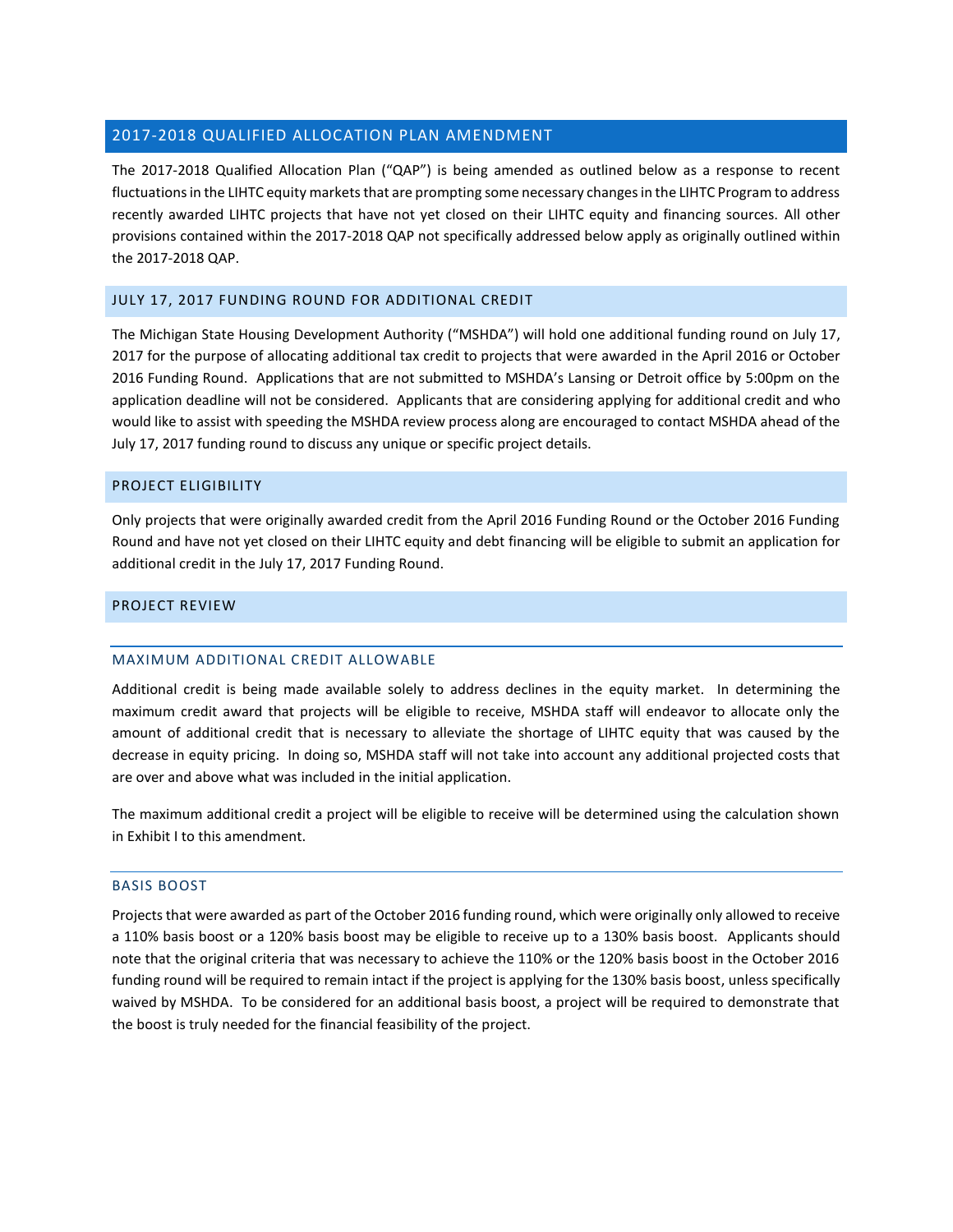## 2017-2018 QUALIFIED ALLOCATION PLAN AMENDMENT

The 2017-2018 Qualified Allocation Plan ("QAP") is being amended as outlined below as a response to recent fluctuations in the LIHTC equity markets that are prompting some necessary changes in the LIHTC Program to address recently awarded LIHTC projects that have not yet closed on their LIHTC equity and financing sources. All other provisions contained within the 2017-2018 QAP not specifically addressed below apply as originally outlined within the 2017-2018 QAP.

## JULY 17, 2017 FUNDING ROUND FOR ADDITIONAL CREDIT

The Michigan State Housing Development Authority ("MSHDA") will hold one additional funding round on July 17, 2017 for the purpose of allocating additional tax credit to projects that were awarded in the April 2016 or October 2016 Funding Round. Applications that are not submitted to MSHDA's Lansing or Detroit office by 5:00pm on the application deadline will not be considered. Applicants that are considering applying for additional credit and who would like to assist with speeding the MSHDA review process along are encouraged to contact MSHDA ahead of the July 17, 2017 funding round to discuss any unique or specific project details.

## PROJECT ELIGIBILITY

Only projects that were originally awarded credit from the April 2016 Funding Round or the October 2016 Funding Round and have not yet closed on their LIHTC equity and debt financing will be eligible to submit an application for additional credit in the July 17, 2017 Funding Round.

## PROJECT REVIEW

## MAXIMUM ADDITIONAL CREDIT ALLOWABLE

Additional credit is being made available solely to address declines in the equity market. In determining the maximum credit award that projects will be eligible to receive, MSHDA staff will endeavor to allocate only the amount of additional credit that is necessary to alleviate the shortage of LIHTC equity that was caused by the decrease in equity pricing. In doing so, MSHDA staff will not take into account any additional projected costs that are over and above what was included in the initial application.

The maximum additional credit a project will be eligible to receive will be determined using the calculation shown in Exhibit I to this amendment.

## BASIS BOOST

Projects that were awarded as part of the October 2016 funding round, which were originally only allowed to receive a 110% basis boost or a 120% basis boost may be eligible to receive up to a 130% basis boost. Applicants should note that the original criteria that was necessary to achieve the 110% or the 120% basis boost in the October 2016 funding round will be required to remain intact if the project is applying for the 130% basis boost, unless specifically waived by MSHDA. To be considered for an additional basis boost, a project will be required to demonstrate that the boost is truly needed for the financial feasibility of the project.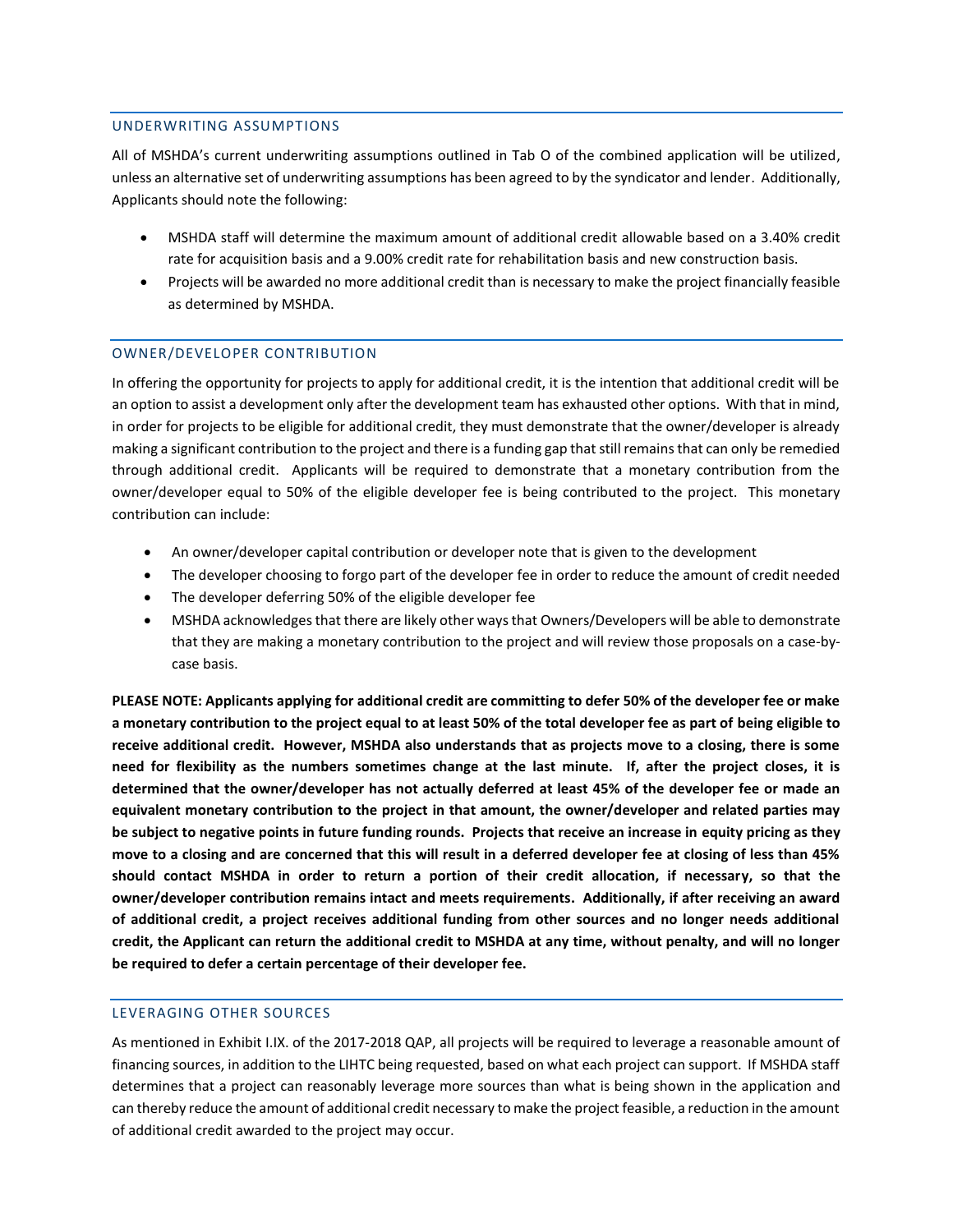## UNDERWRITING ASSUMPTIONS

All of MSHDA's current underwriting assumptions outlined in Tab O of the combined application will be utilized, unless an alternative set of underwriting assumptions has been agreed to by the syndicator and lender. Additionally, Applicants should note the following:

- MSHDA staff will determine the maximum amount of additional credit allowable based on a 3.40% credit rate for acquisition basis and a 9.00% credit rate for rehabilitation basis and new construction basis.
- Projects will be awarded no more additional credit than is necessary to make the project financially feasible as determined by MSHDA.

## OWNER/DEVELOPER CONTRIBUTION

In offering the opportunity for projects to apply for additional credit, it is the intention that additional credit will be an option to assist a development only after the development team has exhausted other options. With that in mind, in order for projects to be eligible for additional credit, they must demonstrate that the owner/developer is already making a significant contribution to the project and there is a funding gap that still remains that can only be remedied through additional credit. Applicants will be required to demonstrate that a monetary contribution from the owner/developer equal to 50% of the eligible developer fee is being contributed to the project. This monetary contribution can include:

- An owner/developer capital contribution or developer note that is given to the development
- The developer choosing to forgo part of the developer fee in order to reduce the amount of credit needed
- The developer deferring 50% of the eligible developer fee
- MSHDA acknowledges that there are likely other ways that Owners/Developers will be able to demonstrate that they are making a monetary contribution to the project and will review those proposals on a case-bycase basis.

**PLEASE NOTE: Applicants applying for additional credit are committing to defer 50% of the developer fee or make a monetary contribution to the project equal to at least 50% of the total developer fee as part of being eligible to receive additional credit. However, MSHDA also understands that as projects move to a closing, there is some need for flexibility as the numbers sometimes change at the last minute. If, after the project closes, it is determined that the owner/developer has not actually deferred at least 45% of the developer fee or made an equivalent monetary contribution to the project in that amount, the owner/developer and related parties may be subject to negative points in future funding rounds. Projects that receive an increase in equity pricing as they move to a closing and are concerned that this will result in a deferred developer fee at closing of less than 45% should contact MSHDA in order to return a portion of their credit allocation, if necessary, so that the owner/developer contribution remains intact and meets requirements. Additionally, if after receiving an award of additional credit, a project receives additional funding from other sources and no longer needs additional credit, the Applicant can return the additional credit to MSHDA at any time, without penalty, and will no longer be required to defer a certain percentage of their developer fee.** 

## LEVERAGING OTHER SOURCES

As mentioned in Exhibit I.IX. of the 2017-2018 QAP, all projects will be required to leverage a reasonable amount of financing sources, in addition to the LIHTC being requested, based on what each project can support. If MSHDA staff determines that a project can reasonably leverage more sources than what is being shown in the application and can thereby reduce the amount of additional credit necessary to make the project feasible, a reduction in the amount of additional credit awarded to the project may occur.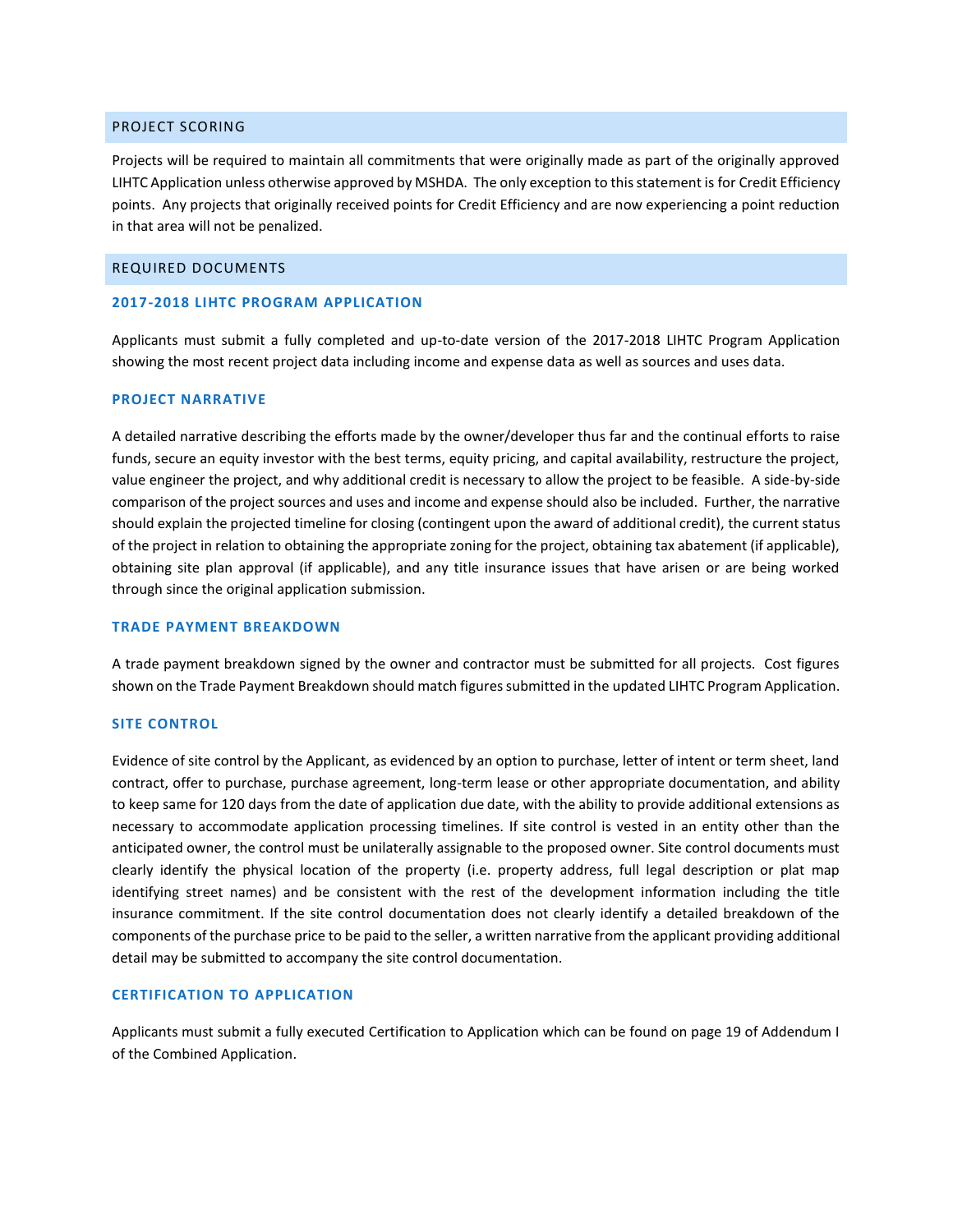## PROJECT SCORING

Projects will be required to maintain all commitments that were originally made as part of the originally approved LIHTC Application unless otherwise approved by MSHDA. The only exception to this statement is for Credit Efficiency points. Any projects that originally received points for Credit Efficiency and are now experiencing a point reduction in that area will not be penalized.

## REQUIRED DOCUMENTS

#### **2017-2018 LIHTC PROGRAM APPLICATION**

Applicants must submit a fully completed and up-to-date version of the 2017-2018 LIHTC Program Application showing the most recent project data including income and expense data as well as sources and uses data.

#### **PROJECT NARRATIVE**

A detailed narrative describing the efforts made by the owner/developer thus far and the continual efforts to raise funds, secure an equity investor with the best terms, equity pricing, and capital availability, restructure the project, value engineer the project, and why additional credit is necessary to allow the project to be feasible. A side-by-side comparison of the project sources and uses and income and expense should also be included. Further, the narrative should explain the projected timeline for closing (contingent upon the award of additional credit), the current status of the project in relation to obtaining the appropriate zoning for the project, obtaining tax abatement (if applicable), obtaining site plan approval (if applicable), and any title insurance issues that have arisen or are being worked through since the original application submission.

#### **TRADE PAYMENT BREAKDOWN**

A trade payment breakdown signed by the owner and contractor must be submitted for all projects. Cost figures shown on the Trade Payment Breakdown should match figures submitted in the updated LIHTC Program Application.

## **SITE CONTROL**

Evidence of site control by the Applicant, as evidenced by an option to purchase, letter of intent or term sheet, land contract, offer to purchase, purchase agreement, long-term lease or other appropriate documentation, and ability to keep same for 120 days from the date of application due date, with the ability to provide additional extensions as necessary to accommodate application processing timelines. If site control is vested in an entity other than the anticipated owner, the control must be unilaterally assignable to the proposed owner. Site control documents must clearly identify the physical location of the property (i.e. property address, full legal description or plat map identifying street names) and be consistent with the rest of the development information including the title insurance commitment. If the site control documentation does not clearly identify a detailed breakdown of the components of the purchase price to be paid to the seller, a written narrative from the applicant providing additional detail may be submitted to accompany the site control documentation.

## **CERTIFICATION TO APPLICATION**

Applicants must submit a fully executed Certification to Application which can be found on page 19 of Addendum I of the Combined Application.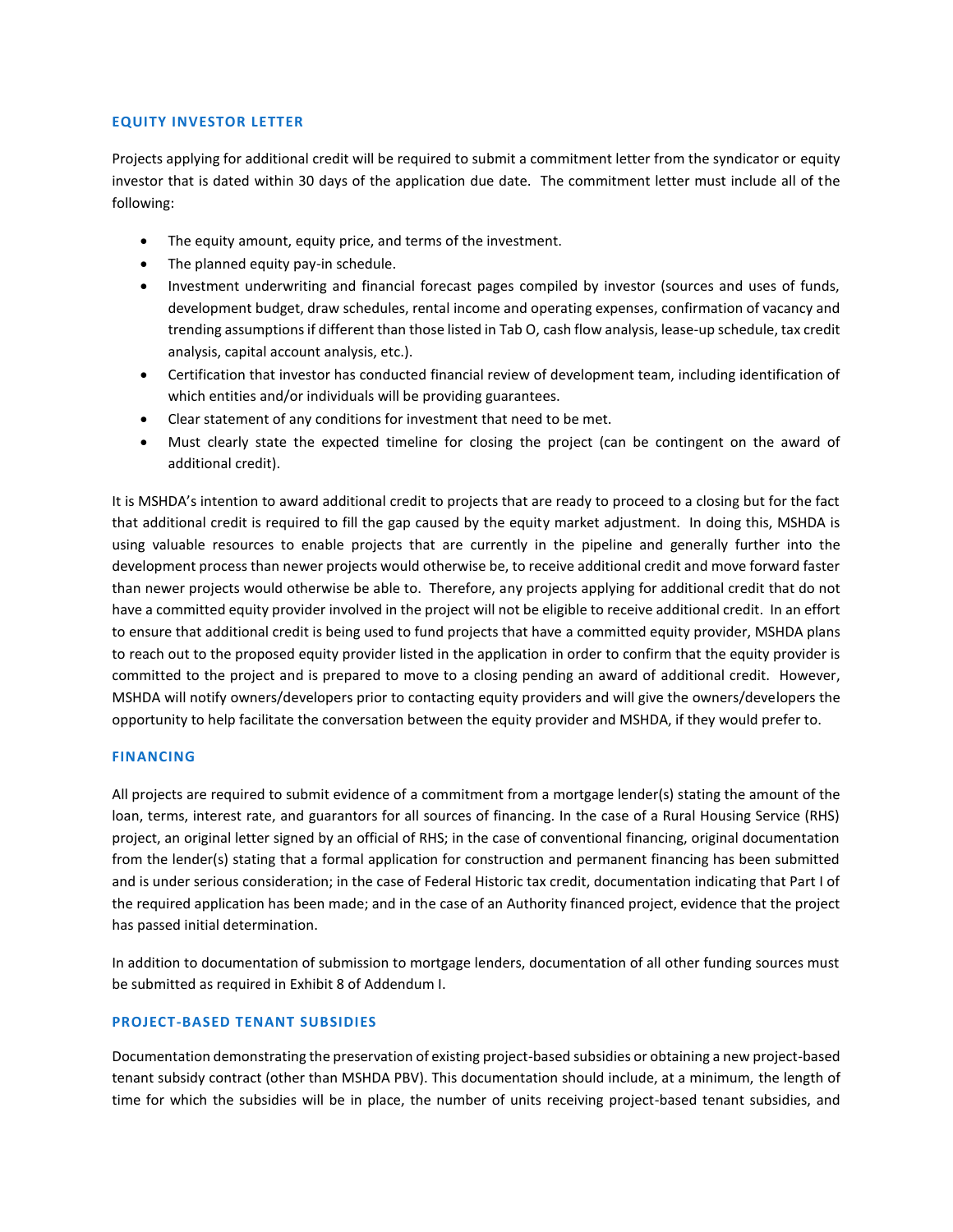## **EQUITY INVESTOR LETTER**

Projects applying for additional credit will be required to submit a commitment letter from the syndicator or equity investor that is dated within 30 days of the application due date. The commitment letter must include all of the following:

- The equity amount, equity price, and terms of the investment.
- The planned equity pay-in schedule.
- Investment underwriting and financial forecast pages compiled by investor (sources and uses of funds, development budget, draw schedules, rental income and operating expenses, confirmation of vacancy and trending assumptions if different than those listed in Tab O, cash flow analysis, lease-up schedule, tax credit analysis, capital account analysis, etc.).
- Certification that investor has conducted financial review of development team, including identification of which entities and/or individuals will be providing guarantees.
- Clear statement of any conditions for investment that need to be met.
- Must clearly state the expected timeline for closing the project (can be contingent on the award of additional credit).

It is MSHDA's intention to award additional credit to projects that are ready to proceed to a closing but for the fact that additional credit is required to fill the gap caused by the equity market adjustment. In doing this, MSHDA is using valuable resources to enable projects that are currently in the pipeline and generally further into the development process than newer projects would otherwise be, to receive additional credit and move forward faster than newer projects would otherwise be able to. Therefore, any projects applying for additional credit that do not have a committed equity provider involved in the project will not be eligible to receive additional credit. In an effort to ensure that additional credit is being used to fund projects that have a committed equity provider, MSHDA plans to reach out to the proposed equity provider listed in the application in order to confirm that the equity provider is committed to the project and is prepared to move to a closing pending an award of additional credit. However, MSHDA will notify owners/developers prior to contacting equity providers and will give the owners/developers the opportunity to help facilitate the conversation between the equity provider and MSHDA, if they would prefer to.

## **FINANCING**

All projects are required to submit evidence of a commitment from a mortgage lender(s) stating the amount of the loan, terms, interest rate, and guarantors for all sources of financing. In the case of a Rural Housing Service (RHS) project, an original letter signed by an official of RHS; in the case of conventional financing, original documentation from the lender(s) stating that a formal application for construction and permanent financing has been submitted and is under serious consideration; in the case of Federal Historic tax credit, documentation indicating that Part I of the required application has been made; and in the case of an Authority financed project, evidence that the project has passed initial determination.

In addition to documentation of submission to mortgage lenders, documentation of all other funding sources must be submitted as required in Exhibit 8 of Addendum I.

## **PROJECT-BASED TENANT SUBSIDIES**

Documentation demonstrating the preservation of existing project-based subsidies or obtaining a new project-based tenant subsidy contract (other than MSHDA PBV). This documentation should include, at a minimum, the length of time for which the subsidies will be in place, the number of units receiving project-based tenant subsidies, and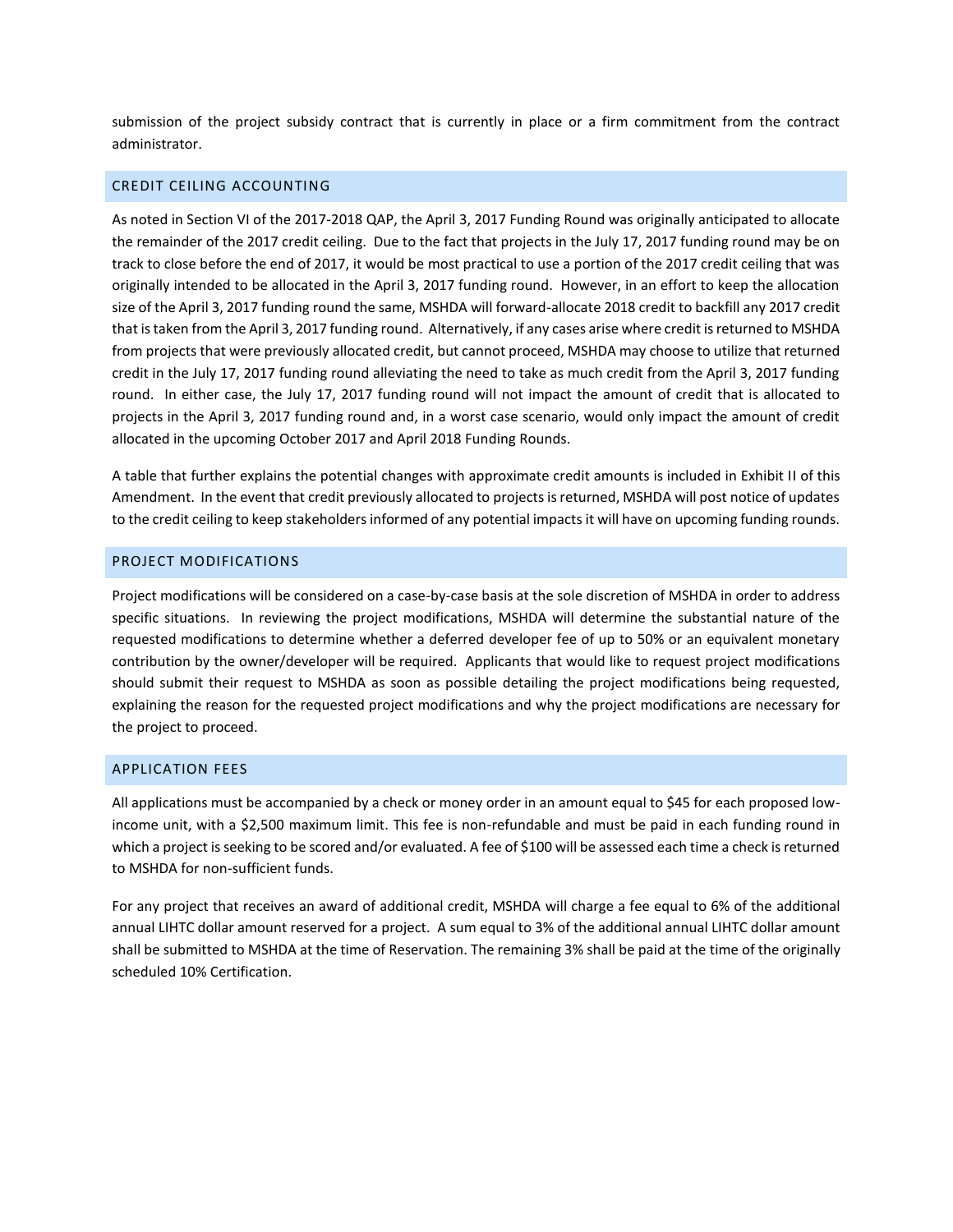submission of the project subsidy contract that is currently in place or a firm commitment from the contract administrator.

## CREDIT CEILING ACCOUNTING

As noted in Section VI of the 2017-2018 QAP, the April 3, 2017 Funding Round was originally anticipated to allocate the remainder of the 2017 credit ceiling. Due to the fact that projects in the July 17, 2017 funding round may be on track to close before the end of 2017, it would be most practical to use a portion of the 2017 credit ceiling that was originally intended to be allocated in the April 3, 2017 funding round. However, in an effort to keep the allocation size of the April 3, 2017 funding round the same, MSHDA will forward-allocate 2018 credit to backfill any 2017 credit that is taken from the April 3, 2017 funding round. Alternatively, if any cases arise where credit is returned to MSHDA from projects that were previously allocated credit, but cannot proceed, MSHDA may choose to utilize that returned credit in the July 17, 2017 funding round alleviating the need to take as much credit from the April 3, 2017 funding round. In either case, the July 17, 2017 funding round will not impact the amount of credit that is allocated to projects in the April 3, 2017 funding round and, in a worst case scenario, would only impact the amount of credit allocated in the upcoming October 2017 and April 2018 Funding Rounds.

A table that further explains the potential changes with approximate credit amounts is included in Exhibit II of this Amendment. In the event that credit previously allocated to projects is returned, MSHDA will post notice of updates to the credit ceiling to keep stakeholders informed of any potential impacts it will have on upcoming funding rounds.

## PROJECT MODIFICATIONS

Project modifications will be considered on a case-by-case basis at the sole discretion of MSHDA in order to address specific situations. In reviewing the project modifications, MSHDA will determine the substantial nature of the requested modifications to determine whether a deferred developer fee of up to 50% or an equivalent monetary contribution by the owner/developer will be required. Applicants that would like to request project modifications should submit their request to MSHDA as soon as possible detailing the project modifications being requested, explaining the reason for the requested project modifications and why the project modifications are necessary for the project to proceed.

## APPLICATION FEES

All applications must be accompanied by a check or money order in an amount equal to \$45 for each proposed lowincome unit, with a \$2,500 maximum limit. This fee is non-refundable and must be paid in each funding round in which a project is seeking to be scored and/or evaluated. A fee of \$100 will be assessed each time a check is returned to MSHDA for non-sufficient funds.

For any project that receives an award of additional credit, MSHDA will charge a fee equal to 6% of the additional annual LIHTC dollar amount reserved for a project. A sum equal to 3% of the additional annual LIHTC dollar amount shall be submitted to MSHDA at the time of Reservation. The remaining 3% shall be paid at the time of the originally scheduled 10% Certification.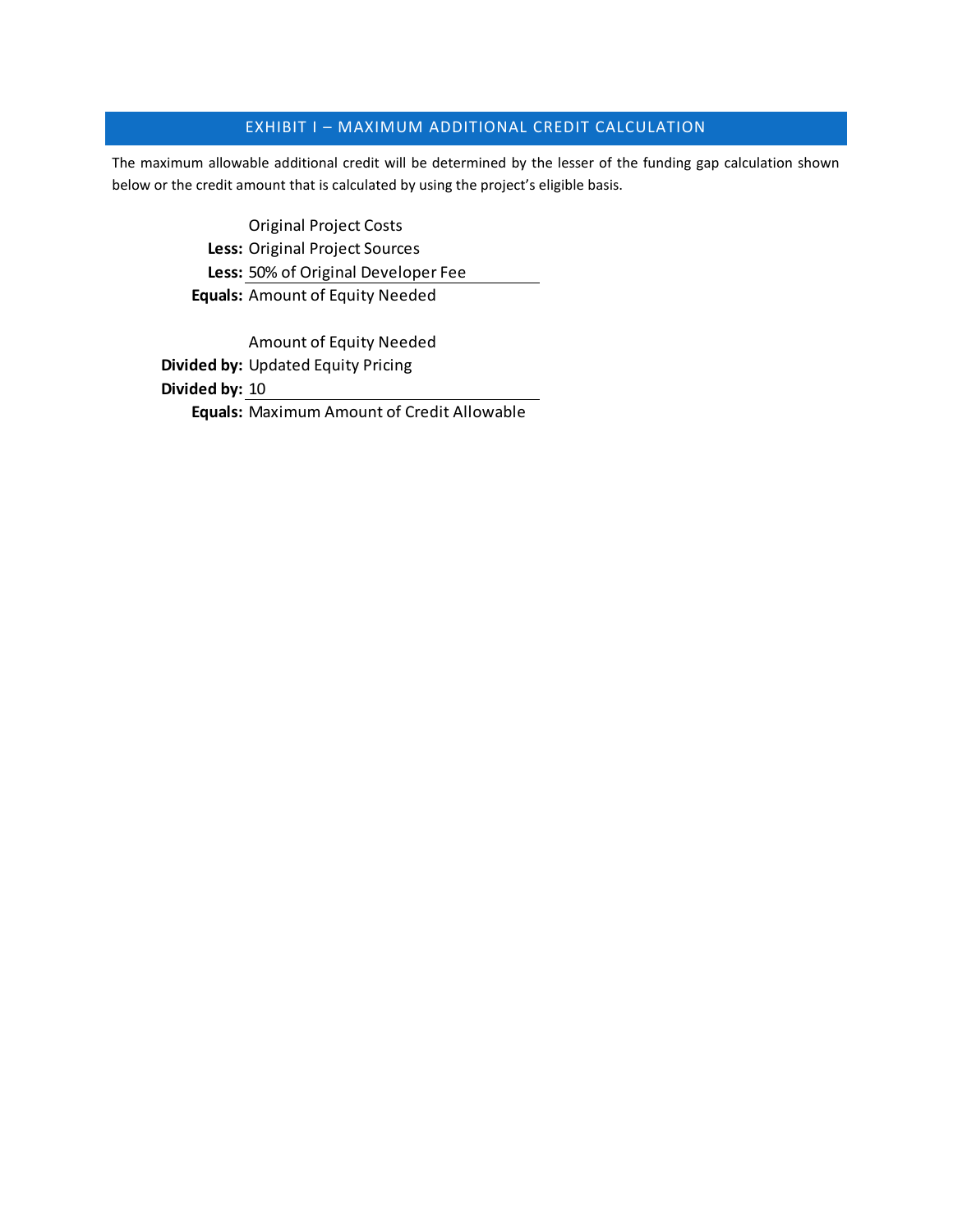## EXHIBIT I – MAXIMUM ADDITIONAL CREDIT CALCULATION

The maximum allowable additional credit will be determined by the lesser of the funding gap calculation shown below or the credit amount that is calculated by using the project's eligible basis.

> Original Project Costs **Less:** Original Project Sources **Less:** 50% of Original Developer Fee **Equals:** Amount of Equity Needed

Amount of Equity Needed **Divided by:** Updated Equity Pricing **Divided by:** 10 **Equals:** Maximum Amount of Credit Allowable